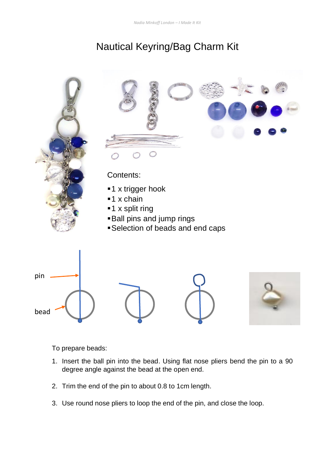## Nautical Keyring/Bag Charm Kit



To prepare beads:

- 1. Insert the ball pin into the bead. Using flat nose pliers bend the pin to a 90 degree angle against the bead at the open end.
- 2. Trim the end of the pin to about 0.8 to 1cm length.
- 3. Use round nose pliers to loop the end of the pin, and close the loop.